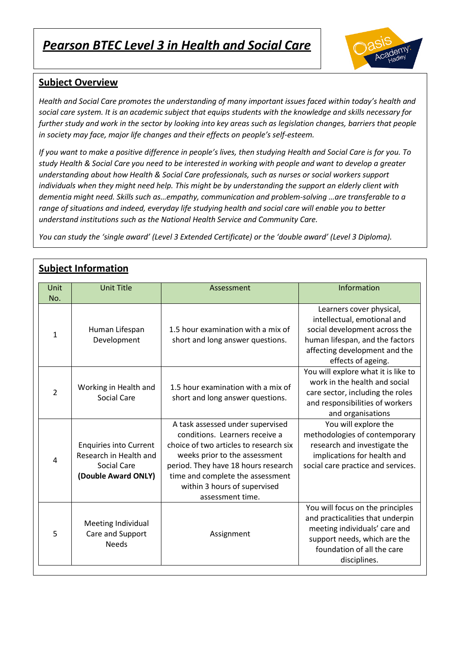# *Pearson BTEC Level 3 in Health and Social Care*



#### **Subject Overview**

*Health and Social Care promotes the understanding of many important issues faced within today's health and social care system. It is an academic subject that equips students with the knowledge and skills necessary for further study and work in the sector by looking into key areas such as legislation changes, barriers that people in society may face, major life changes and their effects on people's self-esteem.*

*If you want to make a positive difference in people's lives, then studying Health and Social Care is for you. To study Health & Social Care you need to be interested in working with people and want to develop a greater understanding about how Health & Social Care professionals, such as nurses or social workers support individuals when they might need help. This might be by understanding the support an elderly client with dementia might need. Skills such as…empathy, communication and problem-solving …are transferable to a range of situations and indeed, everyday life studying health and social care will enable you to better understand institutions such as the National Health Service and Community Care.*

*You can study the 'single award' (Level 3 Extended Certificate) or the 'double award' (Level 3 Diploma).*

| <u>subject information</u> |                                                                                                      |                                                                                                                                                                                                                                                                              |                                                                                                                                                                                     |  |
|----------------------------|------------------------------------------------------------------------------------------------------|------------------------------------------------------------------------------------------------------------------------------------------------------------------------------------------------------------------------------------------------------------------------------|-------------------------------------------------------------------------------------------------------------------------------------------------------------------------------------|--|
| Unit<br>No.                | <b>Unit Title</b>                                                                                    | Assessment                                                                                                                                                                                                                                                                   | Information                                                                                                                                                                         |  |
| 1                          | Human Lifespan<br>Development                                                                        | 1.5 hour examination with a mix of<br>short and long answer questions.                                                                                                                                                                                                       | Learners cover physical,<br>intellectual, emotional and<br>social development across the<br>human lifespan, and the factors<br>affecting development and the<br>effects of ageing.  |  |
| $\overline{2}$             | Working in Health and<br><b>Social Care</b>                                                          | 1.5 hour examination with a mix of<br>short and long answer questions.                                                                                                                                                                                                       | You will explore what it is like to<br>work in the health and social<br>care sector, including the roles<br>and responsibilities of workers<br>and organisations                    |  |
| 4                          | <b>Enquiries into Current</b><br>Research in Health and<br><b>Social Care</b><br>(Double Award ONLY) | A task assessed under supervised<br>conditions. Learners receive a<br>choice of two articles to research six<br>weeks prior to the assessment<br>period. They have 18 hours research<br>time and complete the assessment<br>within 3 hours of supervised<br>assessment time. | You will explore the<br>methodologies of contemporary<br>research and investigate the<br>implications for health and<br>social care practice and services.                          |  |
| 5                          | Meeting Individual<br>Care and Support<br><b>Needs</b>                                               | Assignment                                                                                                                                                                                                                                                                   | You will focus on the principles<br>and practicalities that underpin<br>meeting individuals' care and<br>support needs, which are the<br>foundation of all the care<br>disciplines. |  |

### **Subject Information**